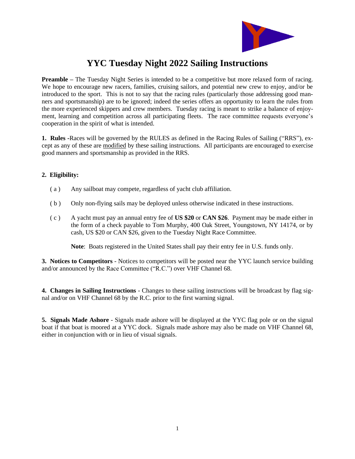

# **YYC Tuesday Night 2022 Sailing Instructions**

**Preamble –** The Tuesday Night Series is intended to be a competitive but more relaxed form of racing. We hope to encourage new racers, families, cruising sailors, and potential new crew to enjoy, and/or be introduced to the sport. This is not to say that the racing rules (particularly those addressing good manners and sportsmanship) are to be ignored; indeed the series offers an opportunity to learn the rules from the more experienced skippers and crew members. Tuesday racing is meant to strike a balance of enjoyment, learning and competition across all participating fleets. The race committee requests everyone's cooperation in the spirit of what is intended.

**1. Rules -**Races will be governed by the RULES as defined in the Racing Rules of Sailing ("RRS"), except as any of these are modified by these sailing instructions. All participants are encouraged to exercise good manners and sportsmanship as provided in the RRS.

### **2. Eligibility:**

- ( a ) Any sailboat may compete, regardless of yacht club affiliation.
- ( b ) Only non-flying sails may be deployed unless otherwise indicated in these instructions.
- ( c ) A yacht must pay an annual entry fee of **US \$20** or **CAN \$26**. Payment may be made either in the form of a check payable to Tom Murphy, 400 Oak Street, Youngstown, NY 14174, or by cash, US \$20 or CAN \$26, given to the Tuesday Night Race Committee.

**Note**: Boats registered in the United States shall pay their entry fee in U.S. funds only.

**3. Notices to Competitors** - Notices to competitors will be posted near the YYC launch service building and/or announced by the Race Committee ("R.C.") over VHF Channel 68.

**4. Changes in Sailing Instructions** - Changes to these sailing instructions will be broadcast by flag signal and/or on VHF Channel 68 by the R.C. prior to the first warning signal.

**5. Signals Made Ashore** - Signals made ashore will be displayed at the YYC flag pole or on the signal boat if that boat is moored at a YYC dock. Signals made ashore may also be made on VHF Channel 68, either in conjunction with or in lieu of visual signals.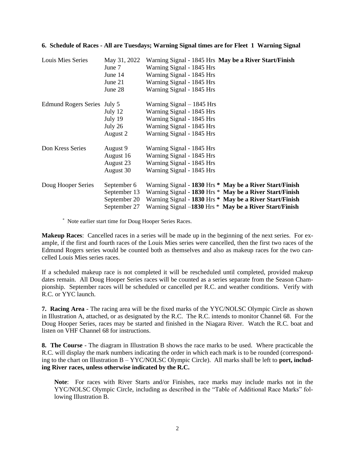|  |  |  |  | 6. Schedule of Races - All are Tuesdays; Warning Signal times are for Fleet 1 Warning Signal |  |
|--|--|--|--|----------------------------------------------------------------------------------------------|--|
|--|--|--|--|----------------------------------------------------------------------------------------------|--|

| Louis Mies Series           | May 31, 2022 | Warning Signal - 1845 Hrs May be a River Start/Finish   |
|-----------------------------|--------------|---------------------------------------------------------|
|                             | June 7       | Warning Signal - 1845 Hrs                               |
|                             | June 14      | Warning Signal - 1845 Hrs                               |
|                             | June $21$    | Warning Signal - 1845 Hrs                               |
|                             | June 28      | Warning Signal - 1845 Hrs                               |
| Edmund Rogers Series July 5 |              | Warning Signal $-1845$ Hrs                              |
|                             | July $12$    | Warning Signal - 1845 Hrs                               |
|                             | July 19      | Warning Signal - 1845 Hrs                               |
|                             | July 26      | Warning Signal - 1845 Hrs                               |
|                             | August 2     | Warning Signal - 1845 Hrs                               |
| Don Kress Series            | August 9     | Warning Signal - 1845 Hrs                               |
|                             | August 16    | Warning Signal - 1845 Hrs                               |
|                             | August 23    | Warning Signal - 1845 Hrs                               |
|                             | August 30    | Warning Signal - 1845 Hrs                               |
| Doug Hooper Series          | September 6  | Warning Signal - 1830 Hrs * May be a River Start/Finish |
|                             | September 13 | Warning Signal - 1830 Hrs * May be a River Start/Finish |
|                             | September 20 | Warning Signal - 1830 Hrs * May be a River Start/Finish |
|                             | September 27 | Warning Signal -1830 Hrs * May be a River Start/Finish  |

\* Note earlier start time for Doug Hooper Series Races.

**Makeup Races**: Cancelled races in a series will be made up in the beginning of the next series. For example, if the first and fourth races of the Louis Mies series were cancelled, then the first two races of the Edmund Rogers series would be counted both as themselves and also as makeup races for the two cancelled Louis Mies series races.

If a scheduled makeup race is not completed it will be rescheduled until completed, provided makeup dates remain. All Doug Hooper Series races will be counted as a series separate from the Season Championship. September races will be scheduled or cancelled per R.C. and weather conditions. Verify with R.C. or YYC launch.

**7. Racing Area** - The racing area will be the fixed marks of the YYC/NOLSC Olympic Circle as shown in Illustration A, attached, or as designated by the R.C. The R.C. intends to monitor Channel 68. For the Doug Hooper Series, races may be started and finished in the Niagara River. Watch the R.C. boat and listen on VHF Channel 68 for instructions.

**8. The Course** - The diagram in Illustration B shows the race marks to be used. Where practicable the R.C. will display the mark numbers indicating the order in which each mark is to be rounded (corresponding to the chart on Illustration B – YYC/NOLSC Olympic Circle). All marks shall be left to **port, including River races, unless otherwise indicated by the R.C.**

**Note**: For races with River Starts and/or Finishes, race marks may include marks not in the YYC/NOLSC Olympic Circle, including as described in the "Table of Additional Race Marks" following Illustration B.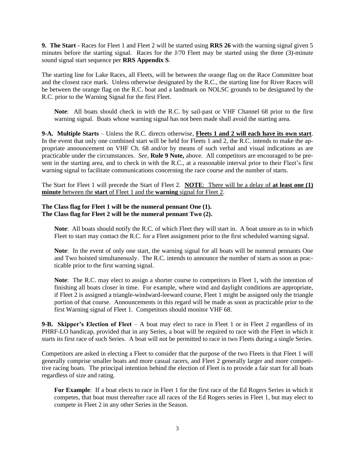**9. The Start -** Races for Fleet 1 and Fleet 2 will be started using **RRS 26** with the warning signal given 5 minutes before the starting signal. Races for the J/70 Fleet may be started using the three (3)-minute sound signal start sequence per **RRS Appendix S**.

The starting line for Lake Races, all Fleets, will be between the orange flag on the Race Committee boat and the closest race mark. Unless otherwise designated by the R.C., the starting line for River Races will be between the orange flag on the R.C. boat and a landmark on NOLSC grounds to be designated by the R.C. prior to the Warning Signal for the first Fleet.

**Note**: All boats should check in with the R.C. by sail-past or VHF Channel 68 prior to the first warning signal. Boats whose warning signal has not been made shall avoid the starting area.

**9-A. Multiple Starts** – Unless the R.C. directs otherwise, **Fleets 1 and 2 will each have its own start**. In the event that only one combined start will be held for Fleets 1 and 2, the R.C. intends to make the appropriate announcement on VHF Ch. 68 and/or by means of such verbal and visual indications as are practicable under the circumstances. *See*, **Rule 9 Note,** above. All competitors are encouraged to be present in the starting area, and to check in with the R.C., at a reasonable interval prior to their Fleet's first warning signal to facilitate communications concerning the race course and the number of starts.

The Start for Fleet 1 will precede the Start of Fleet 2. **NOTE**: There will be a delay of **at least one (1) minute** between the **start** of Fleet 1 and the **warning** signal for Fleet 2.

#### **The Class flag for Fleet 1 will be the numeral pennant One (1). The Class flag for Fleet 2 will be the numeral pennant Two (2).**

**Note**: All boats should notify the R.C. of which Fleet they will start in. A boat unsure as to in which Fleet to start may contact the R.C. for a Fleet assignment prior to the first scheduled warning signal.

**Note**: In the event of only one start, the warning signal for all boats will be numeral pennants One and Two hoisted simultaneously. The R.C. intends to announce the number of starts as soon as practicable prior to the first warning signal.

**Note**: The R.C. may elect to assign a shorter course to competitors in Fleet 1, with the intention of finishing all boats closer in time. For example, where wind and daylight conditions are appropriate, if Fleet 2 is assigned a triangle-windward-leeward course, Fleet 1 might be assigned only the triangle portion of that course. Announcements in this regard will be made as soon as practicable prior to the first Warning signal of Fleet 1. Competitors should monitor VHF 68.

**9-B. Skipper's Election of Fleet** – A boat may elect to race in Fleet 1 or in Fleet 2 regardless of its PHRF-LO handicap, provided that in any Series, a boat will be required to race with the Fleet in which it starts its first race of such Series. A boat will not be permitted to race in two Fleets during a single Series.

Competitors are asked in electing a Fleet to consider that the purpose of the two Fleets is that Fleet 1 will generally comprise smaller boats and more casual racers, and Fleet 2 generally larger and more competitive racing boats. The principal intention behind the election of Fleet is to provide a fair start for all boats regardless of size and rating.

**For Example**: If a boat elects to race in Fleet 1 for the first race of the Ed Rogers Series in which it competes, that boat must thereafter race all races of the Ed Rogers series in Fleet 1, but may elect to compete in Fleet 2 in any other Series in the Season.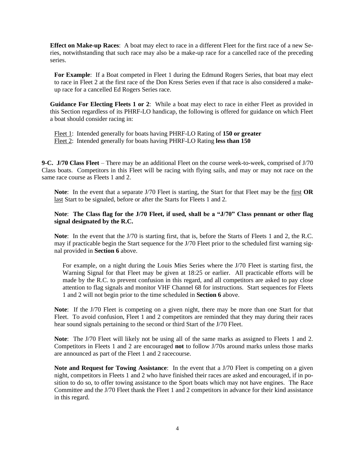**Effect on Make-up Races**: A boat may elect to race in a different Fleet for the first race of a new Series, notwithstanding that such race may also be a make-up race for a cancelled race of the preceding series.

For Example: If a Boat competed in Fleet 1 during the Edmund Rogers Series, that boat may elect to race in Fleet 2 at the first race of the Don Kress Series even if that race is also considered a makeup race for a cancelled Ed Rogers Series race.

**Guidance For Electing Fleets 1 or 2**: While a boat may elect to race in either Fleet as provided in this Section regardless of its PHRF-LO handicap, the following is offered for guidance on which Fleet a boat should consider racing in:

Fleet 1: Intended generally for boats having PHRF-LO Rating of **150 or greater** Fleet 2: Intended generally for boats having PHRF-LO Rating **less than 150**

**9-C. J/70 Class Fleet** – There may be an additional Fleet on the course week-to-week, comprised of J/70 Class boats. Competitors in this Fleet will be racing with flying sails, and may or may not race on the same race course as Fleets 1 and 2.

**Note**: In the event that a separate J/70 Fleet is starting, the Start for that Fleet may be the first **OR** last Start to be signaled, before or after the Starts for Fleets 1 and 2.

#### **Note**: **The Class flag for the J/70 Fleet, if used, shall be a "J/70" Class pennant or other flag signal designated by the R.C.**

**Note**: In the event that the J/70 is starting first, that is, before the Starts of Fleets 1 and 2, the R.C. may if practicable begin the Start sequence for the J/70 Fleet prior to the scheduled first warning signal provided in **Section 6** above.

For example, on a night during the Louis Mies Series where the J/70 Fleet is starting first, the Warning Signal for that Fleet may be given at 18:25 or earlier. All practicable efforts will be made by the R.C. to prevent confusion in this regard, and all competitors are asked to pay close attention to flag signals and monitor VHF Channel 68 for instructions. Start sequences for Fleets 1 and 2 will not begin prior to the time scheduled in **Section 6** above.

**Note**: If the J/70 Fleet is competing on a given night, there may be more than one Start for that Fleet. To avoid confusion, Fleet 1 and 2 competitors are reminded that they may during their races hear sound signals pertaining to the second or third Start of the J/70 Fleet.

**Note**: The J/70 Fleet will likely not be using all of the same marks as assigned to Fleets 1 and 2. Competitors in Fleets 1 and 2 are encouraged **not** to follow J/70s around marks unless those marks are announced as part of the Fleet 1 and 2 racecourse.

**Note and Request for Towing Assistance:** In the event that a J/70 Fleet is competing on a given night, competitors in Fleets 1 and 2 who have finished their races are asked and encouraged, if in position to do so, to offer towing assistance to the Sport boats which may not have engines. The Race Committee and the J/70 Fleet thank the Fleet 1 and 2 competitors in advance for their kind assistance in this regard.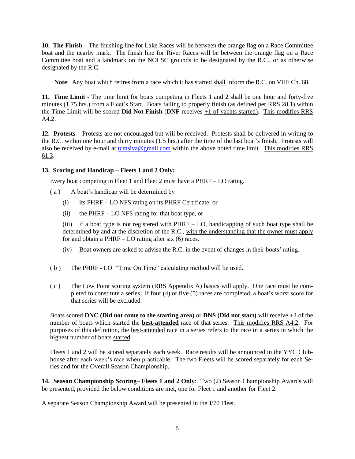**10. The Finish** – The finishing line for Lake Races will be between the orange flag on a Race Committee boat and the nearby mark. The finish line for River Races will be between the orange flag on a Race Committee boat and a landmark on the NOLSC grounds to be designated by the R.C., or as otherwise designated by the R.C.

**Note**: Any boat which retires from a race which it has started shall inform the R.C. on VHF Ch. 68.

**11. Time Limit** - The time limit for boats competing in Fleets 1 and 2 shall be one hour and forty-five minutes (1.75 hrs.) from a Fleet's Start. Boats failing to properly finish (as defined per RRS 28.1) within the Time Limit will be scored **Did Not Finish** (**DNF** receives +1 of yachts started). This modifies RRS A4.2.

**12. Protests** – Protests are not encouraged but will be received. Protests shall be delivered in writing to the R.C. within one hour and thirty minutes (1.5 hrs.) after the time of the last boat's finish. Protests will also be received by e-mail at temsiva@gmail.com within the above noted time limit. This modifies RRS 61.3.

### **13. Scoring and Handicap – Fleets 1 and 2 Only:**

Every boat competing in Fleet 1 and Fleet 2 must have a PHRF – LO rating.

- ( a ) A boat's handicap will be determined by
	- (i) its PHRF LO NFS rating on its PHRF Certificate or
	- (ii) the PHRF LO NFS rating for that boat type, or

(iii) if a boat type is not registered with PHRF – LO, handicapping of such boat type shall be determined by and at the discretion of the R.C., with the understanding that the owner must apply for and obtain a PHRF – LO rating after six (6) races.

- (iv) Boat owners are asked to advise the R.C. in the event of changes in their boats' rating.
- ( b ) The PHRF LO "Time On Time" calculating method will be used.
- ( c ) The Low Point scoring system (RRS Appendix A) basics will apply. One race must be completed to constitute a series. If four (4) or five (5) races are completed, a boat's worst score for that series will be excluded.

Boats scored **DNC (Did not come to the starting area)** or **DNS (Did not start)** will receive +2 of the number of boats which started the **best-attended** race of that series. This modifies RRS A4.2. For purposes of this definition, the best-attended race in a series refers to the race in a series in which the highest number of boats started.

Fleets 1 and 2 will be scored separately each week. Race results will be announced in the YYC Clubhouse after each week's race when practicable. The two Fleets will be scored separately for each Series and for the Overall Season Championship.

**14. Season Championship Scoring– Fleets 1 and 2 Only**: Two (2) Season Championship Awards will be presented, provided the below conditions are met, one for Fleet 1 and another for Fleet 2.

A separate Season Championship Award will be presented in the J/70 Fleet.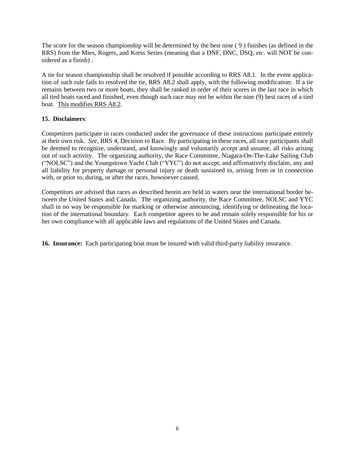The score for the season championship will be determined by the best nine ( 9 ) finishes (as defined in the RRS) from the Mies, Rogers, and Kress Series (meaning that a DNF, DNC, DSQ, *etc*. will NOT be considered as a finish) .

A tie for season championship shall be resolved if possible according to RRS A8.1. In the event application of such rule fails to resolved the tie, RRS A8.2 shall apply, with the following modification: If a tie remains between two or more boats, they shall be ranked in order of their scores in the last race in which all tied boats raced and finished, even though such race may not be within the nine (9) best races of a tied boat. This modifies RRS A8.2.

#### **15. Disclaimers**:

Competitors participate in races conducted under the governance of these instructions participate entirely at their own risk. *See*, RRS 4, Decision to Race. By participating in these races, all race participants shall be deemed to recognize, understand, and knowingly and voluntarily accept and assume, all risks arising out of such activity. The organizing authority, the Race Committee, Niagara-On-The-Lake Sailing Club ("NOLSC") and the Youngstown Yacht Club ("YYC") do not accept, and affirmatively disclaim, any and all liability for property damage or personal injury or death sustained in, arising from or in connection with, or prior to, during, or after the races, howsoever caused.

Competitors are advised that races as described herein are held in waters near the international border between the United States and Canada. The organizing authority, the Race Committee, NOLSC and YYC shall in no way be responsible for marking or otherwise announcing, identifying or delineating the location of the international boundary. Each competitor agrees to be and remain solely responsible for his or her own compliance with all applicable laws and regulations of the United States and Canada.

**16. Insurance:** Each participating boat must be insured with valid third-party liability insurance.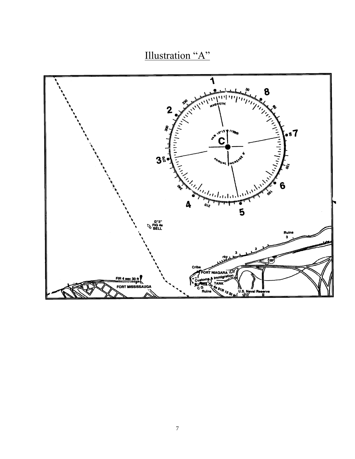Illustration "A"

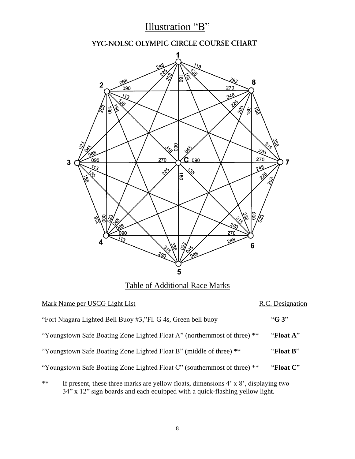# Illustration "B"

## YYC-NOLSC OLYMPIC CIRCLE COURSE CHART



|      | Mark Name per USCG Light List                                                                                                                                              | R.C. Designation |
|------|----------------------------------------------------------------------------------------------------------------------------------------------------------------------------|------------------|
|      | "Fort Niagara Lighted Bell Buoy #3,"Fl. G 4s, Green bell buoy                                                                                                              | " $G_3$ "        |
|      | "Youngstown Safe Boating Zone Lighted Float A" (northernmost of three) **                                                                                                  | "Float A"        |
|      | "Youngstown Safe Boating Zone Lighted Float B" (middle of three) **                                                                                                        | "Float B"        |
|      | "Youngstown Safe Boating Zone Lighted Float C" (southernmost of three) **                                                                                                  | "Float C"        |
| $**$ | If present, these three marks are yellow floats, dimensions $4' \times 8'$ , displaying two<br>34" x 12" sign boards and each equipped with a quick-flashing yellow light. |                  |